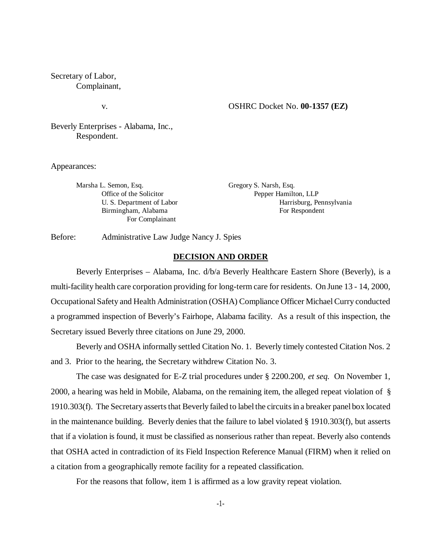Secretary of Labor, Complainant,

# v. OSHRC Docket No. **00-1357 (EZ)**

Beverly Enterprises - Alabama, Inc., Respondent.

Appearances:

Marsha L. Semon, Esq. **Gregory S. Narsh, Esq.** Gregory S. Narsh, Esq. For Complainant

Office of the Solicitor Pepper Hamilton, LLP U. S. Department of Labor Harrisburg, Pennsylvania Birmingham, Alabama For Respondent

Before: Administrative Law Judge Nancy J. Spies

#### **DECISION AND ORDER**

Beverly Enterprises – Alabama, Inc. d/b/a Beverly Healthcare Eastern Shore (Beverly), is a multi-facility health care corporation providing for long-term care for residents. On June 13 - 14, 2000, Occupational Safety and Health Administration (OSHA) Compliance Officer Michael Curry conducted a programmed inspection of Beverly's Fairhope, Alabama facility. As a result of this inspection, the Secretary issued Beverly three citations on June 29, 2000.

Beverly and OSHA informally settled Citation No. 1. Beverly timely contested Citation Nos. 2 and 3. Prior to the hearing, the Secretary withdrew Citation No. 3.

The case was designated for E-Z trial procedures under § 2200.200, *et seq.* On November 1, 2000, a hearing was held in Mobile, Alabama, on the remaining item, the alleged repeat violation of § 1910.303(f). The Secretary asserts that Beverly failed to label the circuits in a breaker panel box located in the maintenance building. Beverly denies that the failure to label violated § 1910.303(f), but asserts that if a violation is found, it must be classified as nonserious rather than repeat. Beverly also contends that OSHA acted in contradiction of its Field Inspection Reference Manual (FIRM) when it relied on a citation from a geographically remote facility for a repeated classification.

For the reasons that follow, item 1 is affirmed as a low gravity repeat violation.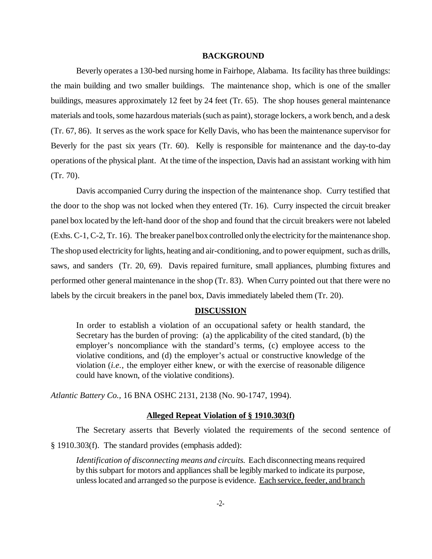### **BACKGROUND**

Beverly operates a 130-bed nursing home in Fairhope, Alabama. Its facility has three buildings: the main building and two smaller buildings. The maintenance shop, which is one of the smaller buildings, measures approximately 12 feet by 24 feet (Tr. 65). The shop houses general maintenance materials and tools, some hazardous materials (such as paint), storage lockers, a work bench, and a desk (Tr. 67, 86). It serves as the work space for Kelly Davis, who has been the maintenance supervisor for Beverly for the past six years (Tr. 60). Kelly is responsible for maintenance and the day-to-day operations of the physical plant. At the time of the inspection, Davis had an assistant working with him (Tr. 70).

Davis accompanied Curry during the inspection of the maintenance shop. Curry testified that the door to the shop was not locked when they entered (Tr. 16). Curry inspected the circuit breaker panel box located by the left-hand door of the shop and found that the circuit breakers were not labeled (Exhs. C-1, C-2, Tr. 16). The breaker panel box controlled only the electricity for the maintenance shop. The shop used electricity for lights, heating and air-conditioning, and to power equipment, such as drills, saws, and sanders (Tr. 20, 69). Davis repaired furniture, small appliances, plumbing fixtures and performed other general maintenance in the shop (Tr. 83). When Curry pointed out that there were no labels by the circuit breakers in the panel box, Davis immediately labeled them (Tr. 20).

# **DISCUSSION**

In order to establish a violation of an occupational safety or health standard, the Secretary has the burden of proving: (a) the applicability of the cited standard, (b) the employer's noncompliance with the standard's terms, (c) employee access to the violative conditions, and (d) the employer's actual or constructive knowledge of the violation (*i.e.,* the employer either knew, or with the exercise of reasonable diligence could have known, of the violative conditions).

*Atlantic Battery Co.,* 16 BNA OSHC 2131, 2138 (No. 90-1747, 1994).

#### **Alleged Repeat Violation of § 1910.303(f)**

The Secretary asserts that Beverly violated the requirements of the second sentence of § 1910.303(f). The standard provides (emphasis added):

*Identification of disconnecting means and circuits.* Each disconnecting means required by this subpart for motors and appliances shall be legibly marked to indicate its purpose, unless located and arranged so the purpose is evidence. Each service, feeder, and branch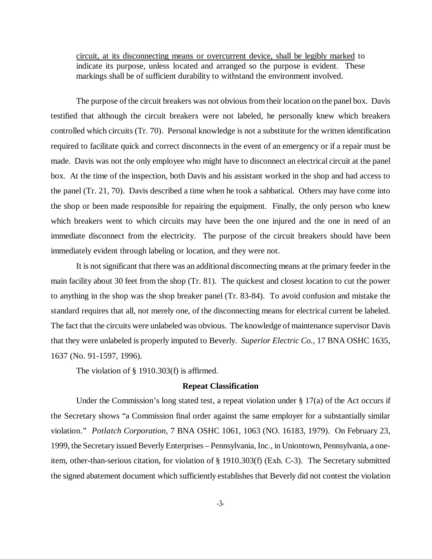circuit, at its disconnecting means or overcurrent device, shall be legibly marked to indicate its purpose, unless located and arranged so the purpose is evident. These markings shall be of sufficient durability to withstand the environment involved.

The purpose of the circuit breakers was not obvious from their location on the panel box. Davis testified that although the circuit breakers were not labeled, he personally knew which breakers controlled which circuits (Tr. 70). Personal knowledge is not a substitute for the written identification required to facilitate quick and correct disconnects in the event of an emergency or if a repair must be made. Davis was not the only employee who might have to disconnect an electrical circuit at the panel box. At the time of the inspection, both Davis and his assistant worked in the shop and had access to the panel (Tr. 21, 70). Davis described a time when he took a sabbatical. Others may have come into the shop or been made responsible for repairing the equipment. Finally, the only person who knew which breakers went to which circuits may have been the one injured and the one in need of an immediate disconnect from the electricity. The purpose of the circuit breakers should have been immediately evident through labeling or location, and they were not.

It is not significant that there was an additional disconnecting means at the primary feeder in the main facility about 30 feet from the shop (Tr. 81). The quickest and closest location to cut the power to anything in the shop was the shop breaker panel (Tr. 83-84). To avoid confusion and mistake the standard requires that all, not merely one, of the disconnecting means for electrical current be labeled. The fact that the circuits were unlabeled was obvious. The knowledge of maintenance supervisor Davis that they were unlabeled is properly imputed to Beverly. *Superior Electric Co.,* 17 BNA OSHC 1635, 1637 (No. 91-1597, 1996).

The violation of § 1910.303(f) is affirmed.

### **Repeat Classification**

Under the Commission's long stated test, a repeat violation under  $\S 17(a)$  of the Act occurs if the Secretary shows "a Commission final order against the same employer for a substantially similar violation." *Potlatch Corporation,* 7 BNA OSHC 1061, 1063 (NO. 16183, 1979). On February 23, 1999, the Secretary issued Beverly Enterprises – Pennsylvania, Inc., in Uniontown, Pennsylvania, a oneitem, other-than-serious citation, for violation of § 1910.303(f) (Exh. C-3). The Secretary submitted the signed abatement document which sufficiently establishes that Beverly did not contest the violation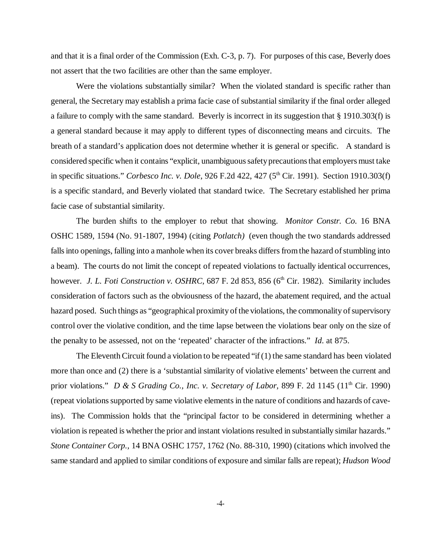and that it is a final order of the Commission (Exh. C-3, p. 7). For purposes of this case, Beverly does not assert that the two facilities are other than the same employer.

Were the violations substantially similar? When the violated standard is specific rather than general, the Secretary may establish a prima facie case of substantial similarity if the final order alleged a failure to comply with the same standard. Beverly is incorrect in its suggestion that § 1910.303(f) is a general standard because it may apply to different types of disconnecting means and circuits. The breath of a standard's application does not determine whether it is general or specific. A standard is considered specific when it contains "explicit, unambiguous safety precautions that employers must take in specific situations." *Corbesco Inc. v. Dole*, 926 F.2d 422, 427 (5th Cir. 1991). Section 1910.303(f) is a specific standard, and Beverly violated that standard twice. The Secretary established her prima facie case of substantial similarity.

The burden shifts to the employer to rebut that showing. *Monitor Constr. Co.* 16 BNA OSHC 1589, 1594 (No. 91-1807, 1994) (citing *Potlatch)* (even though the two standards addressed falls into openings, falling into a manhole when its cover breaks differs from the hazard of stumbling into a beam). The courts do not limit the concept of repeated violations to factually identical occurrences, however. *J. L. Foti Construction v. OSHRC*, 687 F. 2d 853, 856 (6<sup>th</sup> Cir. 1982). Similarity includes consideration of factors such as the obviousness of the hazard, the abatement required, and the actual hazard posed. Such things as "geographical proximity of the violations, the commonality of supervisory control over the violative condition, and the time lapse between the violations bear only on the size of the penalty to be assessed, not on the 'repeated' character of the infractions." *Id*. at 875.

The Eleventh Circuit found a violation to be repeated "if  $(1)$  the same standard has been violated more than once and (2) there is a 'substantial similarity of violative elements' between the current and prior violations." *D & S Grading Co., Inc. v. Secretary of Labor, 899 F. 2d 1145 (11<sup>th</sup> Cir. 1990)* (repeat violations supported by same violative elements in the nature of conditions and hazards of caveins). The Commission holds that the "principal factor to be considered in determining whether a violation is repeated is whether the prior and instant violations resulted in substantially similar hazards." *Stone Container Corp.,* 14 BNA OSHC 1757, 1762 (No. 88-310, 1990) (citations which involved the same standard and applied to similar conditions of exposure and similar falls are repeat); *Hudson Wood*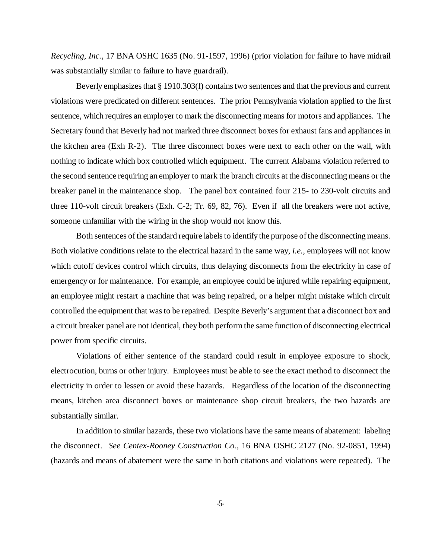*Recycling, Inc.,* 17 BNA OSHC 1635 (No. 91-1597, 1996) (prior violation for failure to have midrail was substantially similar to failure to have guardrail).

Beverly emphasizes that § 1910.303(f) contains two sentences and that the previous and current violations were predicated on different sentences. The prior Pennsylvania violation applied to the first sentence, which requires an employer to mark the disconnecting means for motors and appliances. The Secretary found that Beverly had not marked three disconnect boxes for exhaust fans and appliances in the kitchen area (Exh R-2). The three disconnect boxes were next to each other on the wall, with nothing to indicate which box controlled which equipment. The current Alabama violation referred to the second sentence requiring an employer to mark the branch circuits at the disconnecting means or the breaker panel in the maintenance shop. The panel box contained four 215- to 230-volt circuits and three 110-volt circuit breakers (Exh. C-2; Tr. 69, 82, 76). Even if all the breakers were not active, someone unfamiliar with the wiring in the shop would not know this.

Both sentences of the standard require labels to identify the purpose of the disconnecting means. Both violative conditions relate to the electrical hazard in the same way, *i.e.,* employees will not know which cutoff devices control which circuits, thus delaying disconnects from the electricity in case of emergency or for maintenance. For example, an employee could be injured while repairing equipment, an employee might restart a machine that was being repaired, or a helper might mistake which circuit controlled the equipment that was to be repaired. Despite Beverly's argument that a disconnect box and a circuit breaker panel are not identical, they both perform the same function of disconnecting electrical power from specific circuits.

Violations of either sentence of the standard could result in employee exposure to shock, electrocution, burns or other injury. Employees must be able to see the exact method to disconnect the electricity in order to lessen or avoid these hazards. Regardless of the location of the disconnecting means, kitchen area disconnect boxes or maintenance shop circuit breakers, the two hazards are substantially similar.

In addition to similar hazards, these two violations have the same means of abatement: labeling the disconnect. *See Centex-Rooney Construction Co.,* 16 BNA OSHC 2127 (No. 92-0851, 1994) (hazards and means of abatement were the same in both citations and violations were repeated). The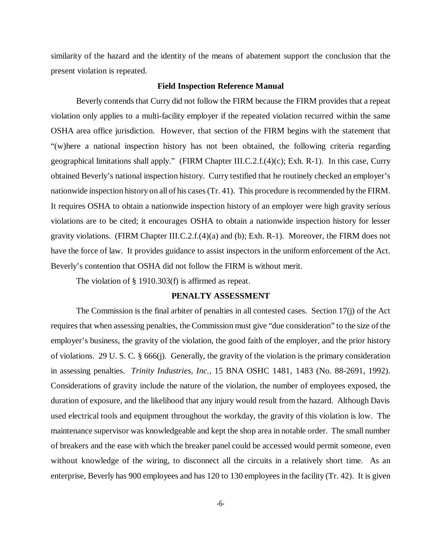similarity of the hazard and the identity of the means of abatement support the conclusion that the present violation is repeated.

#### **Field Inspection Reference Manual**

Beverly contends that Curry did not follow the FIRM because the FIRM provides that a repeat violation only applies to a multi-facility employer if the repeated violation recurred within the same OSHA area office jurisdiction. However, that section of the FIRM begins with the statement that "(w)here a national inspection history has not been obtained, the following criteria regarding geographical limitations shall apply." (FIRM Chapter III.C.2.f.(4)(c); Exh. R-1). In this case, Curry obtained Beverly's national inspection history. Curry testified that he routinely checked an employer's nationwide inspection history on all of his cases (Tr. 41). This procedure is recommended by the FIRM. It requires OSHA to obtain a nationwide inspection history of an employer were high gravity serious violations are to be cited; it encourages OSHA to obtain a nationwide inspection history for lesser gravity violations. (FIRM Chapter III.C.2.f. $(4)(a)$  and (b); Exh. R-1). Moreover, the FIRM does not have the force of law. It provides guidance to assist inspectors in the uniform enforcement of the Act. Beverly's contention that OSHA did not follow the FIRM is without merit.

The violation of § 1910.303(f) is affirmed as repeat.

# **PENALTY ASSESSMENT**

The Commission is the final arbiter of penalties in all contested cases. Section 17(j) of the Act requires that when assessing penalties, the Commission must give "due consideration" to the size of the employer's business, the gravity of the violation, the good faith of the employer, and the prior history of violations. 29 U. S. C. § 666(j). Generally, the gravity of the violation is the primary consideration in assessing penalties. *Trinity Industries, Inc.,* 15 BNA OSHC 1481, 1483 (No. 88-2691, 1992). Considerations of gravity include the nature of the violation, the number of employees exposed, the duration of exposure, and the likelihood that any injury would result from the hazard. Although Davis used electrical tools and equipment throughout the workday, the gravity of this violation is low. The maintenance supervisor was knowledgeable and kept the shop area in notable order. The small number of breakers and the ease with which the breaker panel could be accessed would permit someone, even without knowledge of the wiring, to disconnect all the circuits in a relatively short time. As an enterprise, Beverly has 900 employees and has 120 to 130 employees in the facility (Tr. 42). It is given